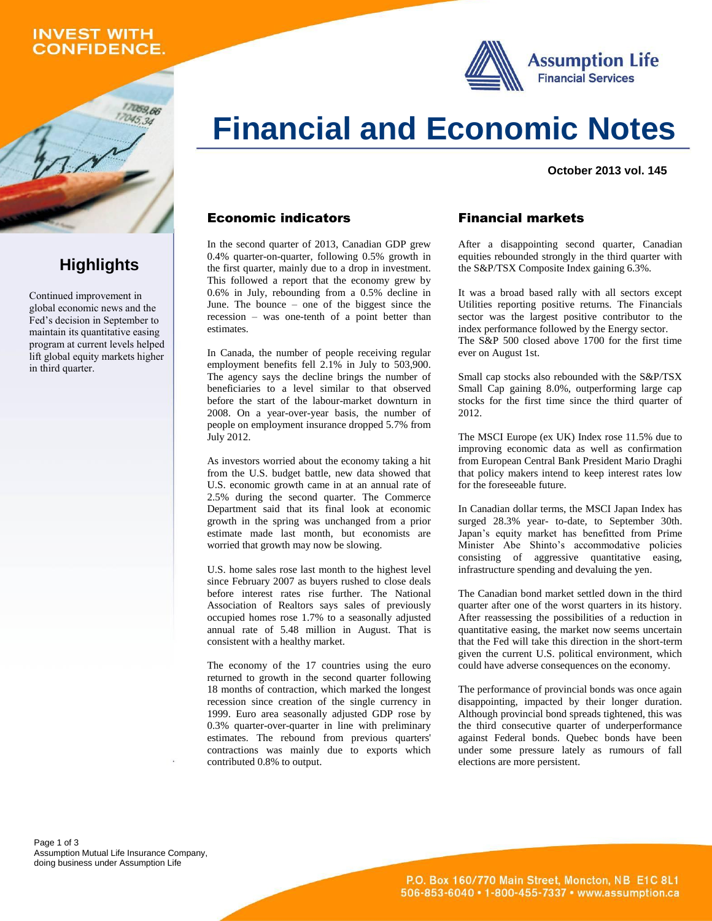## **INVEST WITH CONFIDENCE.**

059.66

**Highlights**

Continued improvement in global economic news and the Fed's decision in September to maintain its quantitative easing program at current levels helped lift global equity markets higher

in third quarter.





#### **October 2013 vol. 145**

#### Economic indicators

In the second quarter of 2013, Canadian GDP grew 0.4% quarter-on-quarter, following 0.5% growth in the first quarter, mainly due to a drop in investment. This followed a report that the economy grew by 0.6% in July, rebounding from a 0.5% decline in June. The bounce – one of the biggest since the recession – was one-tenth of a point better than estimates.

In Canada, the number of people receiving regular employment benefits fell 2.1% in July to 503,900. The agency says the decline brings the number of beneficiaries to a level similar to that observed before the start of the labour-market downturn in 2008. On a year-over-year basis, the number of people on employment insurance dropped 5.7% from July 2012.

As investors worried about the economy taking a hit from the U.S. budget battle, new data showed that U.S. economic growth came in at an annual rate of 2.5% during the second quarter. The Commerce Department said that its final look at economic growth in the spring was unchanged from a prior estimate made last month, but economists are worried that growth may now be slowing.

U.S. home sales rose last month to the highest level since February 2007 as buyers rushed to close deals before interest rates rise further. The National Association of Realtors says sales of previously occupied homes rose 1.7% to a seasonally adjusted annual rate of 5.48 million in August. That is consistent with a healthy market.

The economy of the 17 countries using the euro returned to growth in the second quarter following 18 months of contraction, which marked the longest recession since creation of the single currency in 1999. Euro area seasonally adjusted GDP rose by 0.3% quarter-over-quarter in line with preliminary estimates. The rebound from previous quarters' contractions was mainly due to exports which contributed 0.8% to output.

## Financial markets

After a disappointing second quarter, Canadian equities rebounded strongly in the third quarter with the S&P/TSX Composite Index gaining 6.3%.

It was a broad based rally with all sectors except Utilities reporting positive returns. The Financials sector was the largest positive contributor to the index performance followed by the Energy sector. The S&P 500 closed above 1700 for the first time ever on August 1st.

Small cap stocks also rebounded with the S&P/TSX Small Cap gaining 8.0%, outperforming large cap stocks for the first time since the third quarter of 2012.

The MSCI Europe (ex UK) Index rose 11.5% due to improving economic data as well as confirmation from European Central Bank President Mario Draghi that policy makers intend to keep interest rates low for the foreseeable future.

In Canadian dollar terms, the MSCI Japan Index has surged 28.3% year- to-date, to September 30th. Japan's equity market has benefitted from Prime Minister Abe Shinto's accommodative policies consisting of aggressive quantitative easing, infrastructure spending and devaluing the yen.

The Canadian bond market settled down in the third quarter after one of the worst quarters in its history. After reassessing the possibilities of a reduction in quantitative easing, the market now seems uncertain that the Fed will take this direction in the short-term given the current U.S. political environment, which could have adverse consequences on the economy.

The performance of provincial bonds was once again disappointing, impacted by their longer duration. Although provincial bond spreads tightened, this was the third consecutive quarter of underperformance against Federal bonds. Quebec bonds have been under some pressure lately as rumours of fall elections are more persistent.

Page 1 of 3 Assumption Mutual Life Insurance Company, doing business under Assumption Life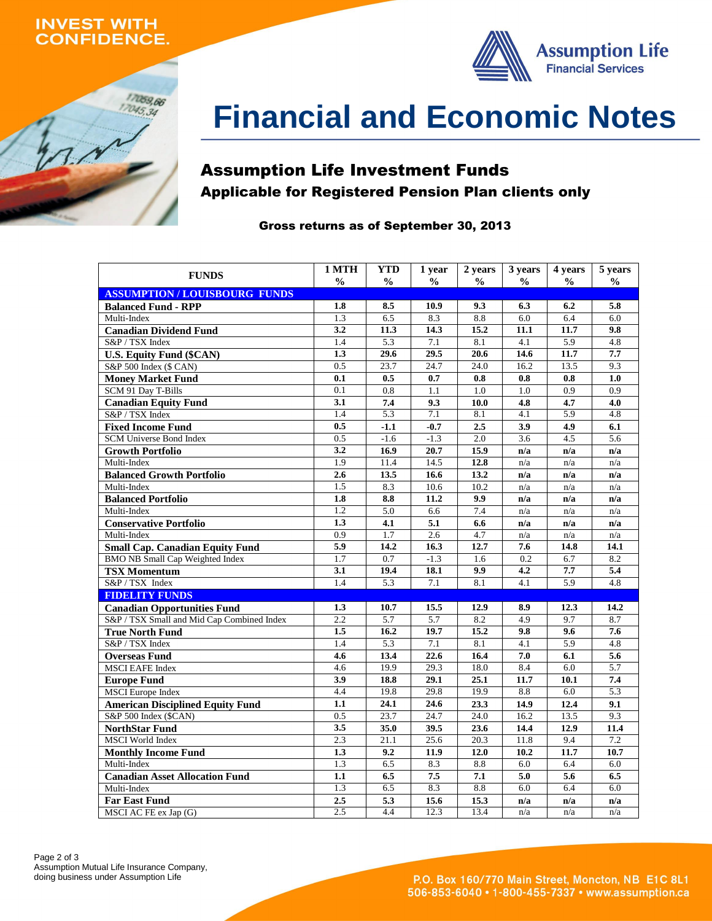## **INVEST WITH ONFIDENCE.**





# **Financial and Economic Notes**

# Assumption Life Investment Funds Applicable for Registered Pension Plan clients only

### Gross returns as of September 30, 2013

| <b>FUNDS</b>                               | 1 MTH            | <b>YTD</b>       | 1 year        | 2 years       | 3 years          | 4 years          | 5 years       |
|--------------------------------------------|------------------|------------------|---------------|---------------|------------------|------------------|---------------|
|                                            | $\frac{0}{0}$    | $\frac{0}{0}$    | $\frac{0}{0}$ | $\frac{0}{0}$ | $\frac{0}{0}$    | $\frac{0}{0}$    | $\frac{0}{0}$ |
| <b>ASSUMPTION/LOUISBOURG FUNDS</b>         |                  |                  |               |               |                  |                  |               |
| <b>Balanced Fund - RPP</b>                 | 1.8              | 8.5              | 10.9          | 9.3           | 6.3              | 6.2              | 5.8           |
| Multi-Index                                | 1.3              | 6.5              | 8.3           | 8.8           | 6.0              | 6.4              | 6.0           |
| <b>Canadian Dividend Fund</b>              | 3.2              | 11.3             | 14.3          | 15.2          | 11.1             | 11.7             | 9.8           |
| S&P / TSX Index                            | 1.4              | 5.3              | 7.1           | 8.1           | 4.1              | 5.9              | 4.8           |
| <b>U.S. Equity Fund (\$CAN)</b>            | 1.3              | 29.6             | 29.5          | 20.6          | 14.6             | 11.7             | 7.7           |
| S&P 500 Index (\$ CAN)                     | 0.5              | 23.7             | 24.7          | 24.0          | 16.2             | 13.5             | 9.3           |
| <b>Money Market Fund</b>                   | 0.1              | 0.5              | 0.7           | 0.8           | 0.8              | 0.8              | 1.0           |
| SCM 91 Day T-Bills                         | $\overline{0.1}$ | 0.8              | 1.1           | 1.0           | 1.0              | 0.9              | 0.9           |
| <b>Canadian Equity Fund</b>                | 3.1              | 7.4              | 9.3           | 10.0          | 4.8              | 4.7              | 4.0           |
| S&P / TSX Index                            | 1.4              | $\overline{5.3}$ | 7.1           | 8.1           | 4.1              | $\overline{5.9}$ | 4.8           |
| <b>Fixed Income Fund</b>                   | 0.5              | $-1.1$           | $-0.7$        | 2.5           | 3.9              | 4.9              | 6.1           |
| <b>SCM Universe Bond Index</b>             | 0.5              | $-1.6$           | $-1.3$        | 2.0           | 3.6              | 4.5              | 5.6           |
| <b>Growth Portfolio</b>                    | 3.2              | 16.9             | 20.7          | 15.9          | n/a              | n/a              | n/a           |
| Multi-Index                                | 1.9              | 11.4             | 14.5          | 12.8          | n/a              | n/a              | n/a           |
| <b>Balanced Growth Portfolio</b>           | 2.6              | 13.5             | 16.6          | 13.2          | n/a              | n/a              | n/a           |
| Multi-Index                                | 1.5              | 8.3              | 10.6          | 10.2          | n/a              | n/a              | n/a           |
| <b>Balanced Portfolio</b>                  | 1.8              | 8.8              | 11.2          | 9.9           | n/a              | n/a              | n/a           |
| Multi-Index                                | 1.2              | 5.0              | 6.6           | 7.4           | n/a              | n/a              | n/a           |
| <b>Conservative Portfolio</b>              | 1.3              | 4.1              | 5.1           | 6.6           | n/a              | n/a              | n/a           |
| Multi-Index                                | 0.9              | 1.7              | 2.6           | 4.7           | n/a              | n/a              | n/a           |
| <b>Small Cap. Canadian Equity Fund</b>     | 5.9              | 14.2             | 16.3          | 12.7          | 7.6              | 14.8             | 14.1          |
| <b>BMO NB Small Cap Weighted Index</b>     | 1.7              | 0.7              | $-1.3$        | 1.6           | 0.2              | 6.7              | 8.2           |
| <b>TSX Momentum</b>                        | 3.1              | 19.4             | 18.1          | 9.9           | 4.2              | 7.7              | 5.4           |
| S&P / TSX Index                            | 1.4              | 5.3              | 7.1           | 8.1           | 4.1              | 5.9              | 4.8           |
| <b>FIDELITY FUNDS</b>                      |                  |                  |               |               |                  |                  |               |
| <b>Canadian Opportunities Fund</b>         | 1.3              | 10.7             | 15.5          | 12.9          | 8.9              | 12.3             | 14.2          |
| S&P / TSX Small and Mid Cap Combined Index | 2.2              | $\overline{5.7}$ | 5.7           | 8.2           | 4.9              | 9.7              | 8.7           |
| <b>True North Fund</b>                     | 1.5              | 16.2             | 19.7          | 15.2          | 9.8              | 9.6              | 7.6           |
| S&P / TSX Index                            | 1.4              | 5.3              | 7.1           | 8.1           | $\overline{4.1}$ | $\overline{5.9}$ | 4.8           |
| <b>Overseas Fund</b>                       | 4.6              | 13.4             | 22.6          | 16.4          | 7.0              | 6.1              | 5.6           |
| <b>MSCI EAFE Index</b>                     | 4.6              | 19.9             | 29.3          | 18.0          | 8.4              | 6.0              | 5.7           |
| <b>Europe Fund</b>                         | 3.9              | 18.8             | 29.1          | 25.1          | 11.7             | 10.1             | 7.4           |
| <b>MSCI</b> Europe Index                   | 4.4              | 19.8             | 29.8          | 19.9          | 8.8              | 6.0              | 5.3           |
| <b>American Disciplined Equity Fund</b>    | 1.1              | 24.1             | 24.6          | 23.3          | 14.9             | 12.4             | 9.1           |
| S&P 500 Index (\$CAN)                      | 0.5              | 23.7             | 24.7          | 24.0          | 16.2             | 13.5             | 9.3           |
| <b>NorthStar Fund</b>                      | 3.5              | 35.0             | 39.5          | 23.6          | 14.4             | 12.9             | 11.4          |
| <b>MSCI</b> World Index                    | 2.3              | 21.1             | 25.6          | 20.3          | 11.8             | 9.4              | 7.2           |
| <b>Monthly Income Fund</b>                 | 1.3              | 9.2              | 11.9          | 12.0          | 10.2             | 11.7             | 10.7          |
| Multi-Index                                | 1.3              | 6.5              | 8.3           | 8.8           | 6.0              | 6.4              | 6.0           |
| <b>Canadian Asset Allocation Fund</b>      | 1.1              | 6.5              | 7.5           | 7.1           | 5.0              | 5.6              | 6.5           |
| Multi-Index                                | 1.3              | 6.5              | 8.3           | 8.8           | 6.0              | 6.4              | 6.0           |
| <b>Far East Fund</b>                       | 2.5              | 5.3              | 15.6          | 15.3          | n/a              | n/a              | n/a           |
| MSCI AC FE ex Jap (G)                      | 2.5              | 4.4              | 12.3          | 13.4          | n/a              | n/a              | n/a           |